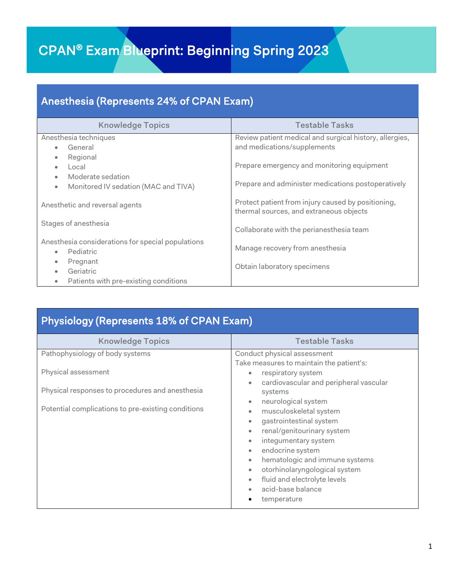## CPAN® Exam Blueprint: Beginning Spring 2023

## Anesthesia (Represents 24% of CPAN Exam)

| <b>Knowledge Topics</b>                            | <b>Testable Tasks</b>                                                                         |  |
|----------------------------------------------------|-----------------------------------------------------------------------------------------------|--|
| Anesthesia techniques                              | Review patient medical and surgical history, allergies,                                       |  |
| General                                            | and medications/supplements                                                                   |  |
| Regional<br>$\bullet$                              |                                                                                               |  |
| Local<br>$\bullet$                                 | Prepare emergency and monitoring equipment                                                    |  |
| Moderate sedation<br>$\bullet$                     |                                                                                               |  |
| Monitored IV sedation (MAC and TIVA)<br>$\bullet$  | Prepare and administer medications postoperatively                                            |  |
| Anesthetic and reversal agents                     | Protect patient from injury caused by positioning,<br>thermal sources, and extraneous objects |  |
| Stages of anesthesia                               | Collaborate with the perianesthesia team                                                      |  |
| Anesthesia considerations for special populations  |                                                                                               |  |
| Pediatric<br>$\bullet$                             | Manage recovery from anesthesia                                                               |  |
| Pregnant<br>$\bullet$                              |                                                                                               |  |
| Geriatric                                          | Obtain laboratory specimens                                                                   |  |
| Patients with pre-existing conditions<br>$\bullet$ |                                                                                               |  |

| <b>Physiology (Represents 18% of CPAN Exam)</b>                                                                                                                 |                                                                                                                                                                                                                                                                                                                                                                                                                                                                                |  |  |
|-----------------------------------------------------------------------------------------------------------------------------------------------------------------|--------------------------------------------------------------------------------------------------------------------------------------------------------------------------------------------------------------------------------------------------------------------------------------------------------------------------------------------------------------------------------------------------------------------------------------------------------------------------------|--|--|
| <b>Knowledge Topics</b>                                                                                                                                         | <b>Testable Tasks</b>                                                                                                                                                                                                                                                                                                                                                                                                                                                          |  |  |
| Pathophysiology of body systems<br>Physical assessment<br>Physical responses to procedures and anesthesia<br>Potential complications to pre-existing conditions | Conduct physical assessment<br>Take measures to maintain the patient's:<br>respiratory system<br>$\bullet$<br>cardiovascular and peripheral vascular<br>systems<br>neurological system<br>$\bullet$<br>musculoskeletal system<br>٠<br>gastrointestinal system<br>renal/genitourinary system<br>integumentary system<br>endocrine system<br>hematologic and immune systems<br>otorhinolaryngological system<br>fluid and electrolyte levels<br>acid-base balance<br>temperature |  |  |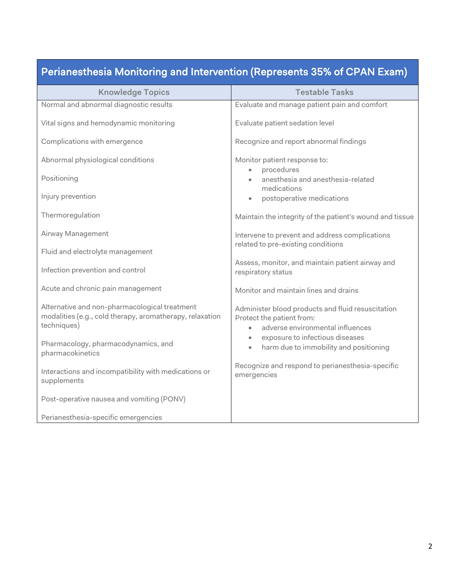|  | Perianesthesia Monitoring and Intervention (Represents 35% of CPAN Exam) |
|--|--------------------------------------------------------------------------|
|  |                                                                          |

| <b>Knowledge Topics</b>                                                                                                  | <b>Testable Tasks</b>                                                                                              |
|--------------------------------------------------------------------------------------------------------------------------|--------------------------------------------------------------------------------------------------------------------|
| Normal and abnormal diagnostic results                                                                                   | Evaluate and manage patient pain and comfort                                                                       |
| Vital signs and hemodynamic monitoring                                                                                   | Evaluate patient sedation level                                                                                    |
| Complications with emergence                                                                                             | Recognize and report abnormal findings                                                                             |
| Abnormal physiological conditions                                                                                        | Monitor patient response to:<br>procedures                                                                         |
| Positioning                                                                                                              | anesthesia and anesthesia-related<br>medications                                                                   |
| Injury prevention                                                                                                        | postoperative medications<br>$\bullet$                                                                             |
| Thermoregulation                                                                                                         | Maintain the integrity of the patient's wound and tissue                                                           |
| Airway Management                                                                                                        | Intervene to prevent and address complications<br>related to pre-existing conditions                               |
| Fluid and electrolyte management                                                                                         |                                                                                                                    |
| Infection prevention and control                                                                                         | Assess, monitor, and maintain patient airway and<br>respiratory status                                             |
| Acute and chronic pain management                                                                                        | Monitor and maintain lines and drains                                                                              |
| Alternative and non-pharmacological treatment<br>modalities (e.g., cold therapy, aromatherapy, relaxation<br>techniques) | Administer blood products and fluid resuscitation<br>Protect the patient from:<br>adverse environmental influences |
| Pharmacology, pharmacodynamics, and<br>pharmacokinetics                                                                  | exposure to infectious diseases<br>$\bullet$<br>harm due to immobility and positioning<br>$\bullet$                |
| Interactions and incompatibility with medications or<br>supplements                                                      | Recognize and respond to perianesthesia-specific<br>emergencies                                                    |
| Post-operative nausea and vomiting (PONV)                                                                                |                                                                                                                    |
| Perianesthesia-specific emergencies                                                                                      |                                                                                                                    |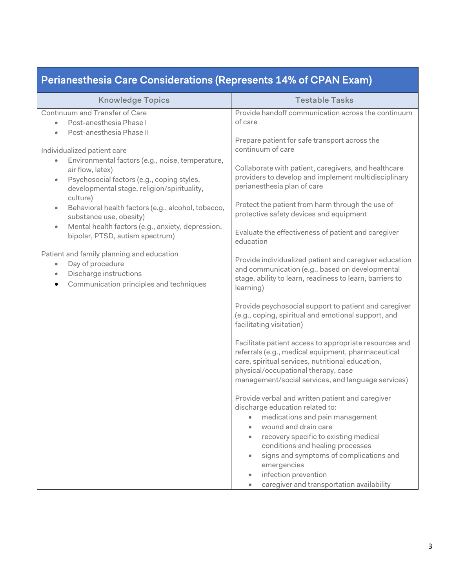| Perianesthesia Care Considerations (Represents 14% of CPAN Exam)                                                                                                                                                                                                                                                                                                                                                                                                                                           |                                                                                                                                                                                                                                                                                                                                                                                                                                                                                                                                        |  |  |
|------------------------------------------------------------------------------------------------------------------------------------------------------------------------------------------------------------------------------------------------------------------------------------------------------------------------------------------------------------------------------------------------------------------------------------------------------------------------------------------------------------|----------------------------------------------------------------------------------------------------------------------------------------------------------------------------------------------------------------------------------------------------------------------------------------------------------------------------------------------------------------------------------------------------------------------------------------------------------------------------------------------------------------------------------------|--|--|
| <b>Knowledge Topics</b>                                                                                                                                                                                                                                                                                                                                                                                                                                                                                    | <b>Testable Tasks</b>                                                                                                                                                                                                                                                                                                                                                                                                                                                                                                                  |  |  |
| Continuum and Transfer of Care<br>Post-anesthesia Phase I<br>Post-anesthesia Phase II<br>$\bullet$                                                                                                                                                                                                                                                                                                                                                                                                         | Provide handoff communication across the continuum<br>of care<br>Prepare patient for safe transport across the                                                                                                                                                                                                                                                                                                                                                                                                                         |  |  |
| Individualized patient care<br>Environmental factors (e.g., noise, temperature,<br>air flow, latex)<br>Psychosocial factors (e.g., coping styles,<br>$\bullet$<br>developmental stage, religion/spirituality,<br>culture)<br>Behavioral health factors (e.g., alcohol, tobacco,<br>$\bullet$<br>substance use, obesity)<br>Mental health factors (e.g., anxiety, depression,<br>$\bullet$<br>bipolar, PTSD, autism spectrum)<br>Patient and family planning and education<br>Day of procedure<br>$\bullet$ | continuum of care<br>Collaborate with patient, caregivers, and healthcare<br>providers to develop and implement multidisciplinary<br>perianesthesia plan of care<br>Protect the patient from harm through the use of<br>protective safety devices and equipment<br>Evaluate the effectiveness of patient and caregiver<br>education<br>Provide individualized patient and caregiver education<br>and communication (e.g., based on developmental                                                                                       |  |  |
| Discharge instructions<br>$\bullet$<br>Communication principles and techniques                                                                                                                                                                                                                                                                                                                                                                                                                             | stage, ability to learn, readiness to learn, barriers to<br>learning)<br>Provide psychosocial support to patient and caregiver<br>(e.g., coping, spiritual and emotional support, and<br>facilitating visitation)<br>Facilitate patient access to appropriate resources and<br>referrals (e.g., medical equipment, pharmaceutical<br>care, spiritual services, nutritional education,<br>physical/occupational therapy, case<br>management/social services, and language services)<br>Provide verbal and written patient and caregiver |  |  |
|                                                                                                                                                                                                                                                                                                                                                                                                                                                                                                            | discharge education related to:<br>medications and pain management<br>wound and drain care<br>recovery specific to existing medical<br>conditions and healing processes<br>signs and symptoms of complications and<br>emergencies<br>infection prevention<br>$\bullet$<br>caregiver and transportation availability                                                                                                                                                                                                                    |  |  |